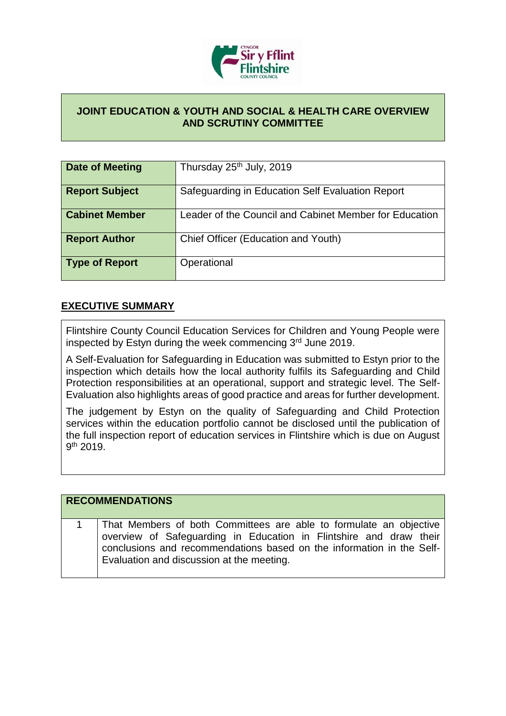

## **JOINT EDUCATION & YOUTH AND SOCIAL & HEALTH CARE OVERVIEW AND SCRUTINY COMMITTEE**

| <b>Date of Meeting</b> | Thursday 25 <sup>th</sup> July, 2019                   |
|------------------------|--------------------------------------------------------|
| <b>Report Subject</b>  | Safeguarding in Education Self Evaluation Report       |
| <b>Cabinet Member</b>  | Leader of the Council and Cabinet Member for Education |
| <b>Report Author</b>   | Chief Officer (Education and Youth)                    |
| <b>Type of Report</b>  | Operational                                            |

## **EXECUTIVE SUMMARY**

Flintshire County Council Education Services for Children and Young People were inspected by Estyn during the week commencing 3rd June 2019.

A Self-Evaluation for Safeguarding in Education was submitted to Estyn prior to the inspection which details how the local authority fulfils its Safeguarding and Child Protection responsibilities at an operational, support and strategic level. The Self-Evaluation also highlights areas of good practice and areas for further development.

The judgement by Estyn on the quality of Safeguarding and Child Protection services within the education portfolio cannot be disclosed until the publication of the full inspection report of education services in Flintshire which is due on August 9<sup>th</sup> 2019.

| <b>RECOMMENDATIONS</b>                                                                                                                                                                                                                                         |
|----------------------------------------------------------------------------------------------------------------------------------------------------------------------------------------------------------------------------------------------------------------|
| That Members of both Committees are able to formulate an objective<br>overview of Safeguarding in Education in Flintshire and draw their<br>conclusions and recommendations based on the information in the Self-<br>Evaluation and discussion at the meeting. |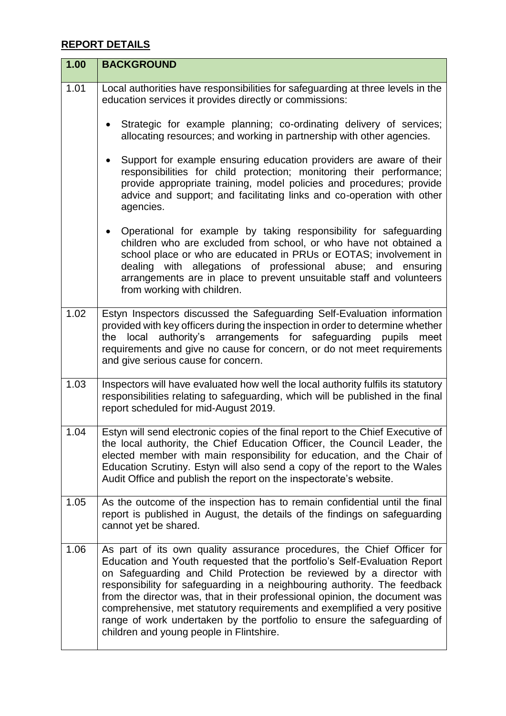## **REPORT DETAILS**

| 1.00 | <b>BACKGROUND</b>                                                                                                                                                                                                                                                                                                                                                                                                                                                                                                                                                                          |
|------|--------------------------------------------------------------------------------------------------------------------------------------------------------------------------------------------------------------------------------------------------------------------------------------------------------------------------------------------------------------------------------------------------------------------------------------------------------------------------------------------------------------------------------------------------------------------------------------------|
| 1.01 | Local authorities have responsibilities for safeguarding at three levels in the<br>education services it provides directly or commissions:                                                                                                                                                                                                                                                                                                                                                                                                                                                 |
|      | Strategic for example planning; co-ordinating delivery of services;<br>allocating resources; and working in partnership with other agencies.                                                                                                                                                                                                                                                                                                                                                                                                                                               |
|      | Support for example ensuring education providers are aware of their<br>responsibilities for child protection; monitoring their performance;<br>provide appropriate training, model policies and procedures; provide<br>advice and support; and facilitating links and co-operation with other<br>agencies.                                                                                                                                                                                                                                                                                 |
|      | Operational for example by taking responsibility for safeguarding<br>$\bullet$<br>children who are excluded from school, or who have not obtained a<br>school place or who are educated in PRUs or EOTAS; involvement in<br>dealing with allegations of professional abuse; and ensuring<br>arrangements are in place to prevent unsuitable staff and volunteers<br>from working with children.                                                                                                                                                                                            |
| 1.02 | Estyn Inspectors discussed the Safeguarding Self-Evaluation information<br>provided with key officers during the inspection in order to determine whether<br>local authority's arrangements for safeguarding pupils<br>the<br>meet<br>requirements and give no cause for concern, or do not meet requirements<br>and give serious cause for concern.                                                                                                                                                                                                                                       |
| 1.03 | Inspectors will have evaluated how well the local authority fulfils its statutory<br>responsibilities relating to safeguarding, which will be published in the final<br>report scheduled for mid-August 2019.                                                                                                                                                                                                                                                                                                                                                                              |
| 1.04 | Estyn will send electronic copies of the final report to the Chief Executive of<br>the local authority, the Chief Education Officer, the Council Leader, the<br>elected member with main responsibility for education, and the Chair of<br>Education Scrutiny. Estyn will also send a copy of the report to the Wales<br>Audit Office and publish the report on the inspectorate's website.                                                                                                                                                                                                |
| 1.05 | As the outcome of the inspection has to remain confidential until the final<br>report is published in August, the details of the findings on safeguarding<br>cannot yet be shared.                                                                                                                                                                                                                                                                                                                                                                                                         |
| 1.06 | As part of its own quality assurance procedures, the Chief Officer for<br>Education and Youth requested that the portfolio's Self-Evaluation Report<br>on Safeguarding and Child Protection be reviewed by a director with<br>responsibility for safeguarding in a neighbouring authority. The feedback<br>from the director was, that in their professional opinion, the document was<br>comprehensive, met statutory requirements and exemplified a very positive<br>range of work undertaken by the portfolio to ensure the safeguarding of<br>children and young people in Flintshire. |